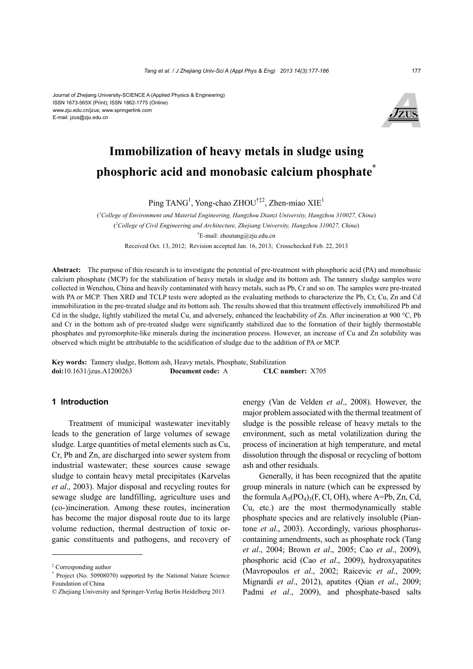Journal of Zhejiang University-SCIENCE A (Applied Physics & Engineering) ISSN 1673-565X (Print); ISSN 1862-1775 (Online) www.zju.edu.cn/jzus; www.springerlink.com E-mail: jzus@zju.edu.cn



# **Immobilization of heavy metals in sludge using phosphoric acid and monobasic calcium phosphate\***

Ping TANG<sup>1</sup>, Yong-chao ZHOU<sup>†‡2</sup>, Zhen-miao XIE<sup>1</sup>

( *1 College of Environment and Material Engineering, Hangzhou Dianzi University, Hangzhou 310027, China*) ( *2 College of Civil Engineering and Architecture, Zhejiang University, Hangzhou 310027, China*) † E-mail: zhoutang@zju.edu.cn Received Oct. 13, 2012; Revision accepted Jan. 16, 2013; Crosschecked Feb. 22, 2013

**Abstract:** The purpose of this research is to investigate the potential of pre-treatment with phosphoric acid (PA) and monobasic calcium phosphate (MCP) for the stabilization of heavy metals in sludge and its bottom ash. The tannery sludge samples were collected in Wenzhou, China and heavily contaminated with heavy metals, such as Pb, Cr and so on. The samples were pre-treated with PA or MCP. Then XRD and TCLP tests were adopted as the evaluating methods to characterize the Pb, Cr, Cu, Zn and Cd immobilization in the pre-treated sludge and its bottom ash. The results showed that this treatment effectively immobilized Pb and Cd in the sludge, lightly stabilized the metal Cu, and adversely, enhanced the leachability of Zn. After incineration at 900 °C, Pb and Cr in the bottom ash of pre-treated sludge were significantly stabilized due to the formation of their highly thermostable phosphates and pyromorphite-like minerals during the incineration process. However, an increase of Cu and Zn solubility was observed which might be attributable to the acidification of sludge due to the addition of PA or MCP.

**Key words:** Tannery sludge, Bottom ash, Heavy metals, Phosphate, Stabilization **doi:**10.1631/jzus.A1200263 **Document code:** A **CLC number:** X705

## **1 Introduction**

Treatment of municipal wastewater inevitably leads to the generation of large volumes of sewage sludge. Large quantities of metal elements such as Cu, Cr, Pb and Zn, are discharged into sewer system from industrial wastewater; these sources cause sewage sludge to contain heavy metal precipitates (Karvelas *et al*., 2003). Major disposal and recycling routes for sewage sludge are landfilling, agriculture uses and (co-)incineration. Among these routes, incineration has become the major disposal route due to its large volume reduction, thermal destruction of toxic organic constituents and pathogens, and recovery of energy (Van de Velden *et al*., 2008). However, the major problem associated with the thermal treatment of sludge is the possible release of heavy metals to the environment, such as metal volatilization during the process of incineration at high temperature, and metal dissolution through the disposal or recycling of bottom ash and other residuals.

Generally, it has been recognized that the apatite group minerals in nature (which can be expressed by the formula  $A_5(PO_4)_3(F, Cl, OH)$ , where A=Pb, Zn, Cd, Cu, etc.) are the most thermodynamically stable phosphate species and are relatively insoluble (Piantone *et al*., 2003). Accordingly, various phosphoruscontaining amendments, such as phosphate rock (Tang *et al*., 2004; Brown *et al*., 2005; Cao *et al*., 2009), phosphoric acid (Cao *et al*., 2009), hydroxyapatites (Mavropoulos *et al*., 2002; Raicevic *et al*., 2009; Mignardi *et al*., 2012), apatites (Qian *et al*., 2009; Padmi *et al*., 2009), and phosphate-based salts

<sup>‡</sup> Corresponding author

<sup>\*</sup> Project (No. 50908070) supported by the National Nature Science Foundation of China

<sup>©</sup> Zhejiang University and Springer-Verlag Berlin Heidelberg 2013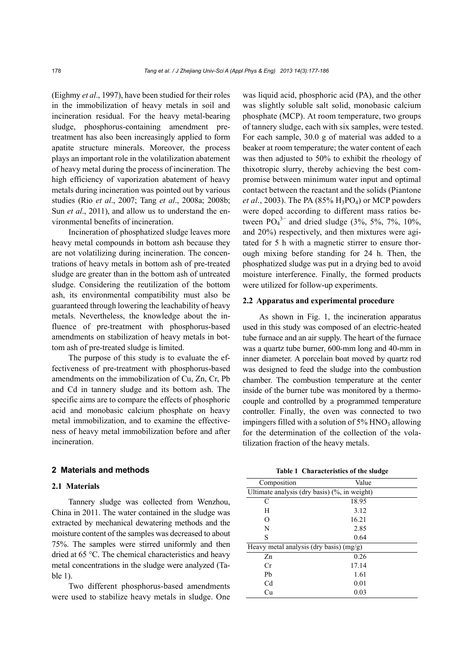(Eighmy *et al*., 1997), have been studied for their roles in the immobilization of heavy metals in soil and incineration residual. For the heavy metal-bearing sludge, phosphorus-containing amendment pretreatment has also been increasingly applied to form apatite structure minerals. Moreover, the process plays an important role in the volatilization abatement of heavy metal during the process of incineration. The high efficiency of vaporization abatement of heavy metals during incineration was pointed out by various studies (Rio *et al*., 2007; Tang *et al*., 2008a; 2008b; Sun *et al*., 2011), and allow us to understand the environmental benefits of incineration.

Incineration of phosphatized sludge leaves more heavy metal compounds in bottom ash because they are not volatilizing during incineration. The concentrations of heavy metals in bottom ash of pre-treated sludge are greater than in the bottom ash of untreated sludge. Considering the reutilization of the bottom ash, its environmental compatibility must also be guaranteed through lowering the leachability of heavy metals. Nevertheless, the knowledge about the influence of pre-treatment with phosphorus-based amendments on stabilization of heavy metals in bottom ash of pre-treated sludge is limited.

The purpose of this study is to evaluate the effectiveness of pre-treatment with phosphorus-based amendments on the immobilization of Cu, Zn, Cr, Pb and Cd in tannery sludge and its bottom ash. The specific aims are to compare the effects of phosphoric acid and monobasic calcium phosphate on heavy metal immobilization, and to examine the effectiveness of heavy metal immobilization before and after incineration.

### **2 Materials and methods**

# **2.1 Materials**

Tannery sludge was collected from Wenzhou, China in 2011. The water contained in the sludge was extracted by mechanical dewatering methods and the moisture content of the samples was decreased to about 75%. The samples were stirred uniformly and then dried at 65 °C. The chemical characteristics and heavy metal concentrations in the sludge were analyzed (Table 1).

Two different phosphorus-based amendments were used to stabilize heavy metals in sludge. One was liquid acid, phosphoric acid (PA), and the other was slightly soluble salt solid, monobasic calcium phosphate (MCP). At room temperature, two groups of tannery sludge, each with six samples, were tested. For each sample, 30.0 g of material was added to a beaker at room temperature; the water content of each was then adjusted to 50% to exhibit the rheology of thixotropic slurry, thereby achieving the best compromise between minimum water input and optimal contact between the reactant and the solids (Piantone *et al.*, 2003). The PA (85% H<sub>3</sub>PO<sub>4</sub>) or MCP powders were doped according to different mass ratios between  $PO_4^{3-}$  and dried sludge (3%, 5%, 7%, 10%, and 20%) respectively, and then mixtures were agitated for 5 h with a magnetic stirrer to ensure thorough mixing before standing for 24 h. Then, the phosphatized sludge was put in a drying bed to avoid moisture interference. Finally, the formed products were utilized for follow-up experiments.

## **2.2 Apparatus and experimental procedure**

As shown in Fig. 1, the incineration apparatus used in this study was composed of an electric-heated tube furnace and an air supply. The heart of the furnace was a quartz tube burner, 600-mm long and 40-mm in inner diameter. A porcelain boat moved by quartz rod was designed to feed the sludge into the combustion chamber. The combustion temperature at the center inside of the burner tube was monitored by a thermocouple and controlled by a programmed temperature controller. Finally, the oven was connected to two impingers filled with a solution of  $5\%$  HNO<sub>3</sub> allowing for the determination of the collection of the volatilization fraction of the heavy metals.

|  | Table 1 Characteristics of the sludge |  |  |  |
|--|---------------------------------------|--|--|--|
|--|---------------------------------------|--|--|--|

| Composition                                  | Value |  |  |
|----------------------------------------------|-------|--|--|
| Ultimate analysis (dry basis) (%, in weight) |       |  |  |
| C                                            | 18.95 |  |  |
| H                                            | 3.12  |  |  |
| O                                            | 16.21 |  |  |
| N                                            | 2.85  |  |  |
| S                                            | 0.64  |  |  |
| Heavy metal analysis (dry basis) $(mg/g)$    |       |  |  |
| Zn                                           | 0.26  |  |  |
| Сr                                           | 17.14 |  |  |
| Ph                                           | 1.61  |  |  |
| Cd                                           | 0.01  |  |  |
| Сu                                           | 0.03  |  |  |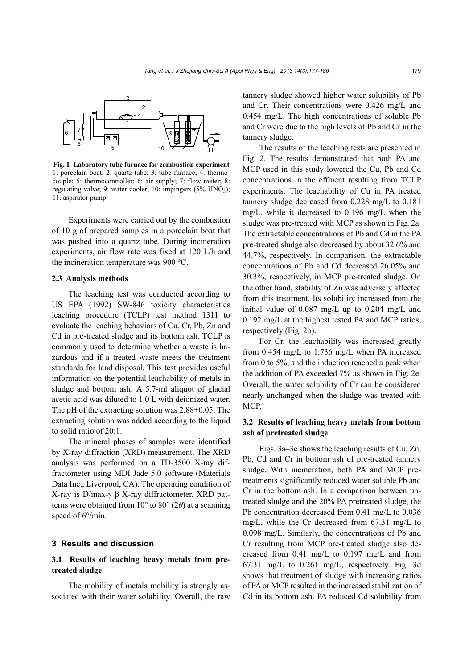

**Fig. 1 Laboratory tube furnace for combustion experiment** 1: porcelain boat; 2: quartz tube; 3: tube furnace; 4: thermocouple; 5: thermocontroller; 6: air supply; 7: flow meter; 8: regulating valve; 9: water cooler; 10: impingers  $(5\% \text{ HNO}_3)$ ; 11: aspirator pump

Experiments were carried out by the combustion of 10 g of prepared samples in a porcelain boat that was pushed into a quartz tube. During incineration experiments, air flow rate was fixed at 120 L/h and the incineration temperature was 900 °C.

### **2.3 Analysis methods**

The leaching test was conducted according to US EPA (1992) SW-846 toxicity characteristics leaching procedure (TCLP) test method 1311 to evaluate the leaching behaviors of Cu, Cr, Pb, Zn and Cd in pre-treated sludge and its bottom ash. TCLP is commonly used to determine whether a waste is hazardous and if a treated waste meets the treatment standards for land disposal. This test provides useful information on the potential leachability of metals in sludge and bottom ash. A 5.7-ml aliquot of glacial acetic acid was diluted to 1.0 L with deionized water. The pH of the extracting solution was 2.88±0.05. The extracting solution was added according to the liquid to solid ratio of 20:1.

The mineral phases of samples were identified by X-ray diffraction (XRD) measurement. The XRD analysis was performed on a TD-3500 X-ray diffractometer using MDI Jade 5.0 software (Materials Data Inc., Liverpool, CA). The operating condition of X-ray is D/max-γ β X-ray diffractometer. XRD patterns were obtained from 10° to 80° (2*θ*) at a scanning speed of  $6^{\circ}/$ min.

## **3 Results and discussion**

# **3.1 Results of leaching heavy metals from pretreated sludge**

The mobility of metals mobility is strongly associated with their water solubility. Overall, the raw tannery sludge showed higher water solubility of Pb and Cr. Their concentrations were 0.426 mg/L and 0.454 mg/L. The high concentrations of soluble Pb and Cr were due to the high levels of Pb and Cr in the tannery sludge.

The results of the leaching tests are presented in Fig. 2. The results demonstrated that both PA and MCP used in this study lowered the Cu, Pb and Cd concentrations in the effluent resulting from TCLP experiments. The leachability of Cu in PA treated tannery sludge decreased from 0.228 mg/L to 0.181 mg/L, while it decreased to 0.196 mg/L when the sludge was pre-treated with MCP as shown in Fig. 2a. The extractable concentrations of Pb and Cd in the PA pre-treated sludge also decreased by about 32.6% and 44.7%, respectively. In comparison, the extractable concentrations of Pb and Cd decreased 26.05% and 30.3%, respectively, in MCP pre-treated sludge. On the other hand, stability of Zn was adversely affected from this treatment. Its solubility increased from the initial value of 0.087 mg/L up to 0.204 mg/L and 0.192 mg/L at the highest tested PA and MCP ratios, respectively (Fig. 2b).

For Cr, the leachability was increased greatly from 0.454 mg/L to 1.736 mg/L when PA increased from 0 to 5%, and the induction reached a peak when the addition of PA exceeded 7% as shown in Fig. 2e. Overall, the water solubility of Cr can be considered nearly unchanged when the sludge was treated with MCP.

# **3.2 Results of leaching heavy metals from bottom ash of pretreated sludge**

Figs. 3a–3e shows the leaching results of Cu, Zn, Pb, Cd and Cr in bottom ash of pre-treated tannery sludge. With incineration, both PA and MCP pretreatments significantly reduced water soluble Pb and Cr in the bottom ash. In a comparison between untreated sludge and the 20% PA pretreated sludge, the Pb concentration decreased from 0.41 mg/L to 0.036 mg/L, while the Cr decreased from 67.31 mg/L to 0.098 mg/L. Similarly, the concentrations of Pb and Cr resulting from MCP pre-treated sludge also decreased from 0.41 mg/L to 0.197 mg/L and from 67.31 mg/L to 0.261 mg/L, respectively. Fig. 3d shows that treatment of sludge with increasing ratios of PA or MCP resulted in the increased stabilization of Cd in its bottom ash. PA reduced Cd solubility from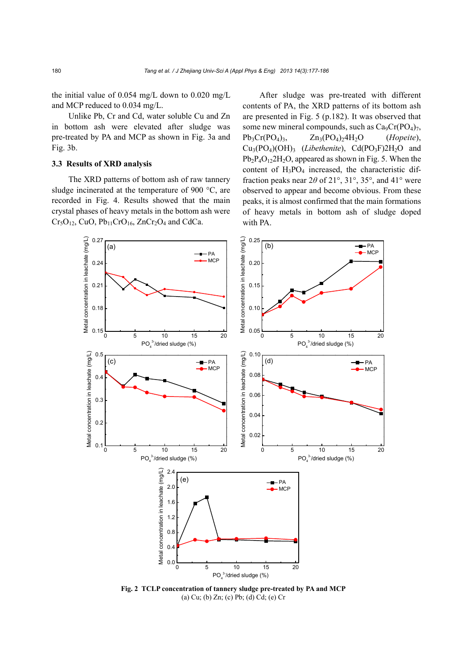the initial value of 0.054 mg/L down to 0.020 mg/L and MCP reduced to 0.034 mg/L.

Unlike Pb, Cr and Cd, water soluble Cu and Zn in bottom ash were elevated after sludge was pre-treated by PA and MCP as shown in Fig. 3a and Fig. 3b.

# **3.3 Results of XRD analysis**

The XRD patterns of bottom ash of raw tannery sludge incinerated at the temperature of 900 °C, are recorded in Fig. 4. Results showed that the main crystal phases of heavy metals in the bottom ash were  $Cr<sub>5</sub>O<sub>12</sub>$ , CuO, Pb<sub>11</sub>CrO<sub>16</sub>, ZnCr<sub>2</sub>O<sub>4</sub> and CdCa.

After sludge was pre-treated with different contents of PA, the XRD patterns of its bottom ash are presented in Fig. 5 (p.182). It was observed that some new mineral compounds, such as  $Ca_9Cr(PO_4)_7$ , Pb<sub>3</sub>Cr(PO<sub>4</sub>)<sub>3</sub>, Zn<sub>3</sub>(PO<sub>4</sub>)<sub>2</sub>4H<sub>2</sub>O (*Hopeite*),  $Cu<sub>3</sub>(PO<sub>4</sub>)(OH)<sub>3</sub>$  (*Libethenite*), Cd(PO<sub>3</sub>F)2H<sub>2</sub>O and  $Pb_2P_4O_{12}2H_2O$ , appeared as shown in Fig. 5. When the content of  $H_3PO_4$  increased, the characteristic diffraction peaks near  $2\theta$  of  $21^\circ$ ,  $31^\circ$ ,  $35^\circ$ , and  $41^\circ$  were observed to appear and become obvious. From these peaks, it is almost confirmed that the main formations of heavy metals in bottom ash of sludge doped with PA.



**Fig. 2 TCLP concentration of tannery sludge pre-treated by PA and MCP**  (a) Cu; (b) Zn; (c) Pb; (d) Cd; (e) Cr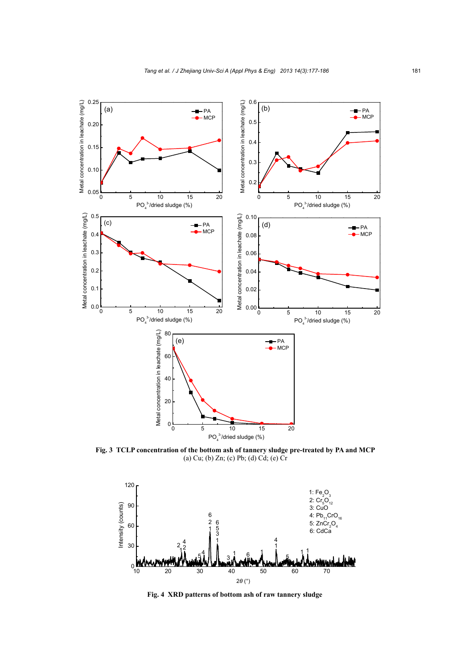

**Fig. 3 TCLP concentration of the bottom ash of tannery sludge pre-treated by PA and MCP**  (a) Cu; (b) Zn; (c) Pb; (d) Cd; (e) Cr



**Fig. 4 XRD patterns of bottom ash of raw tannery sludge**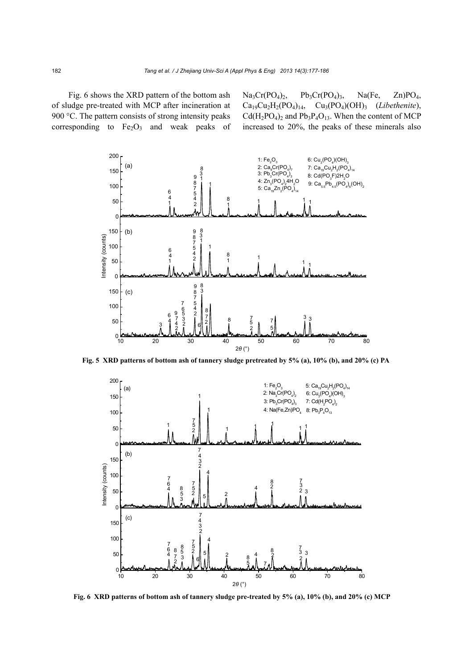Fig. 6 shows the XRD pattern of the bottom ash of sludge pre-treated with MCP after incineration at 900 °C. The pattern consists of strong intensity peaks corresponding to  $Fe<sub>2</sub>O<sub>3</sub>$  and weak peaks of  $Na<sub>3</sub>Cr(PO<sub>4</sub>)<sub>2</sub>$ ,  $Pb<sub>3</sub>Cr(PO<sub>4</sub>)<sub>3</sub>$ ,  $Na(Fe, Zn)PO<sub>4</sub>$ , Ca19Cu2H2(PO4)14, Cu3(PO4)(OH)3 (*Libethenite*),  $Cd(H_2PO_4)_2$  and  $Pb_3P_4O_{13}$ . When the content of MCP increased to 20%, the peaks of these minerals also



**Fig. 5 XRD patterns of bottom ash of tannery sludge pretreated by 5% (a), 10% (b), and 20% (c) PA**



**Fig. 6 XRD patterns of bottom ash of tannery sludge pre-treated by 5% (a), 10% (b), and 20% (c) MCP**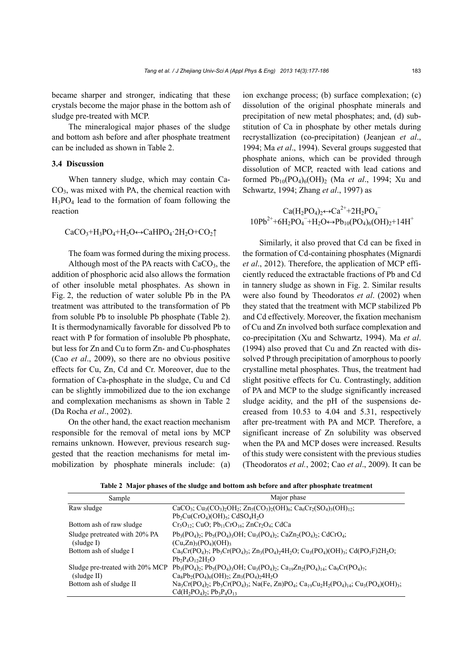became sharper and stronger, indicating that these crystals become the major phase in the bottom ash of sludge pre-treated with MCP.

The mineralogical major phases of the sludge and bottom ash before and after phosphate treatment can be included as shown in Table 2.

# **3.4 Discussion**

When tannery sludge, which may contain Ca-CO3, was mixed with PA, the chemical reaction with H3PO4 lead to the formation of foam following the reaction

$$
CaCO_3 + H_3PO_4 + H_2O \leftrightarrow CaHPO_4 \cdot 2H_2O + CO_2 \uparrow
$$

The foam was formed during the mixing process.

Although most of the PA reacts with  $CaCO<sub>3</sub>$ , the addition of phosphoric acid also allows the formation of other insoluble metal phosphates. As shown in Fig. 2, the reduction of water soluble Pb in the PA treatment was attributed to the transformation of Pb from soluble Pb to insoluble Pb phosphate (Table 2). It is thermodynamically favorable for dissolved Pb to react with P for formation of insoluble Pb phosphate, but less for Zn and Cu to form Zn- and Cu-phosphates (Cao *et al*., 2009), so there are no obvious positive effects for Cu, Zn, Cd and Cr. Moreover, due to the formation of Ca-phosphate in the sludge, Cu and Cd can be slightly immobilized due to the ion exchange and complexation mechanisms as shown in Table 2 (Da Rocha *et al*., 2002).

On the other hand, the exact reaction mechanism responsible for the removal of metal ions by MCP remains unknown. However, previous research suggested that the reaction mechanisms for metal immobilization by phosphate minerals include: (a) ion exchange process; (b) surface complexation; (c) dissolution of the original phosphate minerals and precipitation of new metal phosphates; and, (d) substitution of Ca in phosphate by other metals during recrystallization (co-precipitation) (Jeanjean *et al*., 1994; Ma *et al*., 1994). Several groups suggested that phosphate anions, which can be provided through dissolution of MCP, reacted with lead cations and formed Pb10(PO4)6(OH)2 (Ma *et al*., 1994; Xu and Schwartz, 1994; Zhang *et al*., 1997) as

$$
Ca(H_2PO_4)_2 \leftrightarrow Ca^{2+} + 2H_2PO_4^-
$$
  
10Pb<sup>2+</sup>+6H\_2PO\_4^-+H\_2O \leftrightarrow Pb\_{10}(PO\_4)\_6(OH)\_2+14H<sup>+</sup>

Similarly, it also proved that Cd can be fixed in the formation of Cd-containing phosphates (Mignardi *et al*., 2012). Therefore, the application of MCP efficiently reduced the extractable fractions of Pb and Cd in tannery sludge as shown in Fig. 2. Similar results were also found by Theodoratos *et al*. (2002) when they stated that the treatment with MCP stabilized Pb and Cd effectively. Moreover, the fixation mechanism of Cu and Zn involved both surface complexation and co-precipitation (Xu and Schwartz, 1994). Ma *et al*. (1994) also proved that Cu and Zn reacted with dissolved P through precipitation of amorphous to poorly crystalline metal phosphates. Thus, the treatment had slight positive effects for Cu. Contrastingly, addition of PA and MCP to the sludge significantly increased sludge acidity, and the pH of the suspensions decreased from 10.53 to 4.04 and 5.31, respectively after pre-treatment with PA and MCP. Therefore, a significant increase of Zn solubility was observed when the PA and MCP doses were increased. Results of this study were consistent with the previous studies (Theodoratos *et al.*, 2002; Cao *et al*., 2009). It can be

**Table 2 Major phases of the sludge and bottom ash before and after phosphate treatment**

| Sample                        | Major phase                                                                                                                                                                                                                                    |
|-------------------------------|------------------------------------------------------------------------------------------------------------------------------------------------------------------------------------------------------------------------------------------------|
| Raw sludge                    | CaCO <sub>3</sub> ; Cu <sub>3</sub> (CO <sub>3</sub> ) <sub>2</sub> OH <sub>2</sub> ; Zn <sub>5</sub> (CO <sub>3</sub> ) <sub>2</sub> (OH) <sub>6</sub> ; Ca <sub>6</sub> Cr <sub>2</sub> (SO <sub>4</sub> ) <sub>3</sub> (OH) <sub>12</sub> ; |
|                               | $Pb_2Cu(CrO_4)(OH)_5$ ; CdSO <sub>4</sub> H <sub>2</sub> O                                                                                                                                                                                     |
| Bottom ash of raw sludge      | $Cr_5O_{12}$ ; CuO; Pb <sub>11</sub> CrO <sub>16</sub> ; ZnCr <sub>2</sub> O <sub>4</sub> ; CdCa                                                                                                                                               |
| Sludge pretreated with 20% PA | $Pb_3(PO_4)_2$ ; $Pb_5(PO_4)_3OH$ ; $Cu_3(PO_4)_2$ ; $CaZn_2(PO_4)_2$ ; $CdCrO_4$ ;                                                                                                                                                            |
| slude I)                      | $(Cu,Zn)_{3}(PO_{4})(OH)_{3}$                                                                                                                                                                                                                  |
| Bottom ash of sludge I        | $Ca_9Cr(PO_4)_7$ ; $Pb_3Cr(PO_4)_3$ ; $Zn_3(PO_4)_24H_2O$ ; $Cu_3(PO_4)(OH)_3$ ; $Cd(PO_3F)2H_2O$ ;                                                                                                                                            |
|                               | $Pb_2P_4O_{12}2H_2O$                                                                                                                                                                                                                           |
|                               | Sludge pre-treated with 20% MCP $Pb_3(PO_4)$ ; $Pb_5(PO_4)$ ; $OH$ ; $Cu_3(PO_4)$ ; $Ca_9Zn_2(PO_4)_{14}$ ; $Ca_9Cr(PO_4)_{7}$ ;                                                                                                               |
| sludge II)                    | $Ca_8Pb_2(PO_4)_6(OH)_2$ ; $Zn_3(PO_4)_24H_2O$                                                                                                                                                                                                 |
| Bottom ash of sludge II       | $Na_3Cr(PO_4)$ ; $Pb_3Cr(PO_4)$ ; $Na(Fe, Zn)PO_4$ ; $Ca_{19}Cu_2H_2(PO_4)_{14}$ ; $Cu_3(PO_4)(OH)_3$ ;                                                                                                                                        |
|                               | $Cd(H_2PO_4)$ ; $Pb_3P_4O_{13}$                                                                                                                                                                                                                |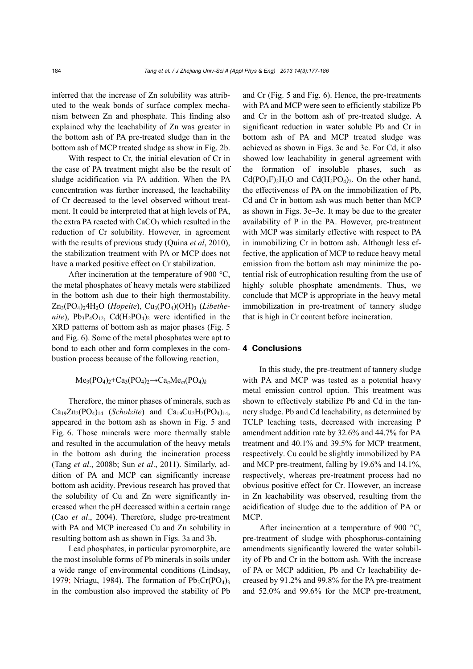inferred that the increase of Zn solubility was attributed to the weak bonds of surface complex mechanism between Zn and phosphate. This finding also explained why the leachability of Zn was greater in the bottom ash of PA pre-treated sludge than in the bottom ash of MCP treated sludge as show in Fig. 2b.

With respect to Cr, the initial elevation of Cr in the case of PA treatment might also be the result of sludge acidification via PA addition. When the PA concentration was further increased, the leachability of Cr decreased to the level observed without treatment. It could be interpreted that at high levels of PA, the extra PA reacted with  $CaCO<sub>3</sub>$  which resulted in the reduction of Cr solubility. However, in agreement with the results of previous study (Quina *et al*, 2010), the stabilization treatment with PA or MCP does not have a marked positive effect on Cr stabilization.

After incineration at the temperature of 900 °C. the metal phosphates of heavy metals were stabilized in the bottom ash due to their high thermostability. Zn<sub>3</sub>(PO<sub>4</sub>)<sub>2</sub>4H<sub>2</sub>O (*Hopeite*), Cu<sub>3</sub>(PO<sub>4</sub>)(OH)<sub>3</sub> (*Libethenite*),  $Pb_3P_4O_{12}$ ,  $Cd(H_2PO_4)_2$  were identified in the XRD patterns of bottom ash as major phases (Fig. 5 and Fig. 6). Some of the metal phosphates were apt to bond to each other and form complexes in the combustion process because of the following reaction,

## $Me<sub>3</sub>(PO<sub>4</sub>)<sub>2</sub>+Ca<sub>3</sub>(PO<sub>4</sub>)<sub>2</sub> \rightarrow Ca<sub>n</sub>Me<sub>m</sub>(PO<sub>4</sub>)<sub>k</sub>$

Therefore, the minor phases of minerals, such as  $Ca_{19}Zn_2(PO_4)_{14}$  (*Scholzite*) and  $Ca_{19}Cu_2H_2(PO_4)_{14}$ , appeared in the bottom ash as shown in Fig. 5 and Fig. 6. Those minerals were more thermally stable and resulted in the accumulation of the heavy metals in the bottom ash during the incineration process (Tang *et al*., 2008b; Sun *et al*., 2011). Similarly, addition of PA and MCP can significantly increase bottom ash acidity. Previous research has proved that the solubility of Cu and Zn were significantly increased when the pH decreased within a certain range (Cao *et al*., 2004). Therefore, sludge pre-treatment with PA and MCP increased Cu and Zn solubility in resulting bottom ash as shown in Figs. 3a and 3b.

Lead phosphates, in particular pyromorphite, are the most insoluble forms of Pb minerals in soils under a wide range of environmental conditions (Lindsay, 1979; Nriagu, 1984). The formation of  $Pb_3Cr(PO_4)$ <sub>3</sub> in the combustion also improved the stability of Pb and Cr (Fig. 5 and Fig. 6). Hence, the pre-treatments with PA and MCP were seen to efficiently stabilize Pb and Cr in the bottom ash of pre-treated sludge. A significant reduction in water soluble Pb and Cr in bottom ash of PA and MCP treated sludge was achieved as shown in Figs. 3c and 3e. For Cd, it also showed low leachability in general agreement with the formation of insoluble phases, such as  $Cd(PO_3F)_2H_2O$  and  $Cd(H_2PO_4)_2$ . On the other hand, the effectiveness of PA on the immobilization of Pb, Cd and Cr in bottom ash was much better than MCP as shown in Figs. 3c–3e. It may be due to the greater availability of P in the PA. However, pre-treatment with MCP was similarly effective with respect to PA in immobilizing Cr in bottom ash. Although less effective, the application of MCP to reduce heavy metal emission from the bottom ash may minimize the potential risk of eutrophication resulting from the use of highly soluble phosphate amendments. Thus, we conclude that MCP is appropriate in the heavy metal immobilization in pre-treatment of tannery sludge that is high in Cr content before incineration.

# **4 Conclusions**

In this study, the pre-treatment of tannery sludge with PA and MCP was tested as a potential heavy metal emission control option. This treatment was shown to effectively stabilize Pb and Cd in the tannery sludge. Pb and Cd leachability, as determined by TCLP leaching tests, decreased with increasing P amendment addition rate by 32.6% and 44.7% for PA treatment and 40.1% and 39.5% for MCP treatment, respectively. Cu could be slightly immobilized by PA and MCP pre-treatment, falling by 19.6% and 14.1%, respectively, whereas pre-treatment process had no obvious positive effect for Cr. However, an increase in Zn leachability was observed, resulting from the acidification of sludge due to the addition of PA or MCP.

After incineration at a temperature of 900 °C, pre-treatment of sludge with phosphorus-containing amendments significantly lowered the water solubility of Pb and Cr in the bottom ash. With the increase of PA or MCP addition, Pb and Cr leachability decreased by 91.2% and 99.8% for the PA pre-treatment and 52.0% and 99.6% for the MCP pre-treatment,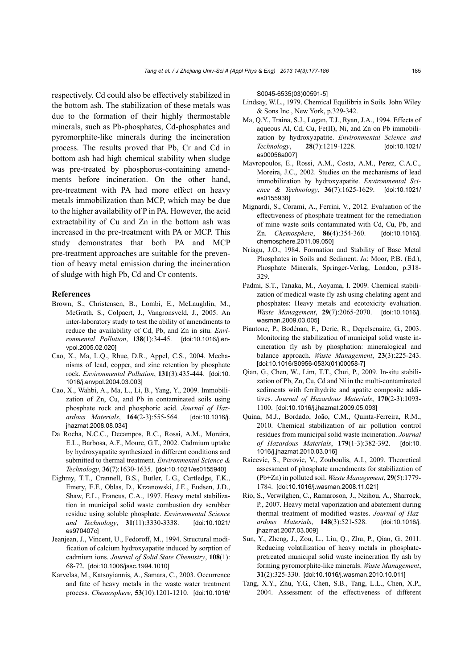respectively. Cd could also be effectively stabilized in the bottom ash. The stabilization of these metals was due to the formation of their highly thermostable minerals, such as Pb-phosphates, Cd-phosphates and pyromorphite-like minerals during the incineration process. The results proved that Pb, Cr and Cd in bottom ash had high chemical stability when sludge was pre-treated by phosphorus-containing amendments before incineration. On the other hand, pre-treatment with PA had more effect on heavy metals immobilization than MCP, which may be due to the higher availability of P in PA. However, the acid extractability of Cu and Zn in the bottom ash was increased in the pre-treatment with PA or MCP. This study demonstrates that both PA and MCP pre-treatment approaches are suitable for the prevention of heavy metal emission during the incineration of sludge with high Pb, Cd and Cr contents.

#### **References**

- Brown, S., Christensen, B., Lombi, E., McLaughlin, M., McGrath, S., Colpaert, J., Vangronsveld, J., 2005. An inter-laboratory study to test the ability of amendments to reduce the availability of Cd, Pb, and Zn in situ. *Environmental Pollution*, **138**(1):34-45. [doi:10.1016/j.envpol.2005.02.020]
- Cao, X., Ma, L.Q., Rhue, D.R., Appel, C.S., 2004. Mechanisms of lead, copper, and zinc retention by phosphate rock. *Environmental Pollution*, **131**(3):435-444. [doi:10. 1016/j.envpol.2004.03.003]
- Cao, X., Wahbi, A., Ma, L., Li, B., Yang, Y., 2009. Immobilization of Zn, Cu, and Pb in contaminated soils using phosphate rock and phosphoric acid. *Journal of Hazardous Materials*, **164**(2-3):555-564. [doi:10.1016/j. jhazmat.2008.08.034]
- Da Rocha, N.C.C., Decampos, R.C., Rossi, A.M., Moreira, E.L., Barbosa, A.F., Moure, G.T., 2002. Cadmium uptake by hydroxyapatite synthesized in different conditions and submitted to thermal treatment. *Environmental Science & Technology*, **36**(7):1630-1635. [doi:10.1021/es0155940]
- Eighmy, T.T., Crannell, B.S., Butler, L.G., Cartledge, F.K., Emery, E.F., Oblas, D., Krzanowski, J.E., Eudsen, J.D., Shaw, E.L., Francus, C.A., 1997. Heavy metal stabilization in municipal solid waste combustion dry scrubber residue using soluble phosphate. *Environmental Science and Technology*, **31**(11):3330-3338. [doi:10.1021/ es970407c]
- Jeanjean, J., Vincent, U., Fedoroff, M., 1994. Structural modification of calcium hydroxyapatite induced by sorption of cadmium ions. *Journal of Solid State Chemistry*, **108**(1): 68-72. [doi:10.1006/jssc.1994.1010]
- Karvelas, M., Katsoyiannis, A., Samara, C., 2003. Occurrence and fate of heavy metals in the waste water treatment process. *Chemosphere*, **53**(10):1201-1210. [doi:10.1016/

S0045-6535(03)00591-5]

- Lindsay, W.L., 1979. Chemical Equilibria in Soils. John Wiley & Sons Inc., New York, p.329-342.
- Ma, Q.Y., Traina, S.J., Logan, T.J., Ryan, J.A., 1994. Effects of aqueous Al, Cd, Cu, Fe(II), Ni, and Zn on Pb immobilization by hydroxyapatite. *Environmental Science and Technology*, **28**(7):1219-1228. [doi:10.1021/ es00056a007]
- Mavropoulos, E., Rossi, A.M., Costa, A.M., Perez, C.A.C., Moreira, J.C., 2002. Studies on the mechanisms of lead immobilization by hydroxyapatite. *Environmental Science & Technology*, **36**(7):1625-1629. [doi:10.1021/ es0155938]
- Mignardi, S., Corami, A., Ferrini, V., 2012. Evaluation of the effectiveness of phosphate treatment for the remediation of mine waste soils contaminated with Cd, Cu, Pb, and Zn. *Chemosphere*, **86**(4):354-360. [doi:10.1016/j. chemosphere.2011.09.050]
- Nriagu, J.O., 1984. Formation and Stability of Base Metal Phosphates in Soils and Sediment. *In*: Moor, P.B. (Ed.), Phosphate Minerals, Springer-Verlag, London, p.318- 329.
- Padmi, S.T., Tanaka, M., Aoyama, I. 2009. Chemical stabilization of medical waste fly ash using chelating agent and phosphates: Heavy metals and ecotoxicity evaluation. *Waste Management*, **29**(7):2065-2070. [doi:10.1016/j. wasman.2009.03.005]
- Piantone, P., Bodénan, F., Derie, R., Depelsenaire, G., 2003. Monitoring the stabilization of municipal solid waste incineration fly ash by phosphation: mineralogical and balance approach. *Waste Management*, **23**(3):225-243. [doi:10.1016/S0956-053X(01)00058-7]
- Qian, G., Chen, W., Lim, T.T., Chui, P., 2009. In-situ stabilization of Pb, Zn, Cu, Cd and Ni in the multi-contaminated sediments with ferrihydrite and apatite composite additives. *Journal of Hazardous Materials*, **170**(2-3):1093- 1100. [doi:10.1016/j.jhazmat.2009.05.093]
- Quina, M.J., Bordado, João, C.M., Quinta-Ferreira, R.M., 2010. Chemical stabilization of air pollution control residues from municipal solid waste incineration. *Journal of Hazardous Materials*, **179**(1-3):382-392. [doi:10. 1016/j.jhazmat.2010.03.016]
- Raicevic, S., Perovic, V., Zouboulis, A.I., 2009. Theoretical assessment of phosphate amendments for stabilization of (Pb+Zn) in polluted soil. *Waste Management*, **29**(5):1779- 1784. [doi:10.1016/j.wasman.2008.11.021]
- Rio, S., Verwilghen, C., Ramaroson, J., Nzihou, A., Sharrock, P., 2007. Heavy metal vaporization and abatement during thermal treatment of modified wastes. *Journal of Hazardous Materials*, **148**(3):521-528. [doi:10.1016/j. jhazmat.2007.03.009]
- Sun, Y., Zheng, J., Zou, L., Liu, Q., Zhu, P., Qian, G., 2011. Reducing volatilization of heavy metals in phosphatepretreated municipal solid waste incineration fly ash by forming pyromorphite-like minerals. *Waste Management*, **31**(2):325-330. [doi:10.1016/j.wasman.2010.10.011]
- Tang, X.Y., Zhu, Y.G., Chen, S.B., Tang, L.L., Chen, X.P., 2004. Assessment of the effectiveness of different